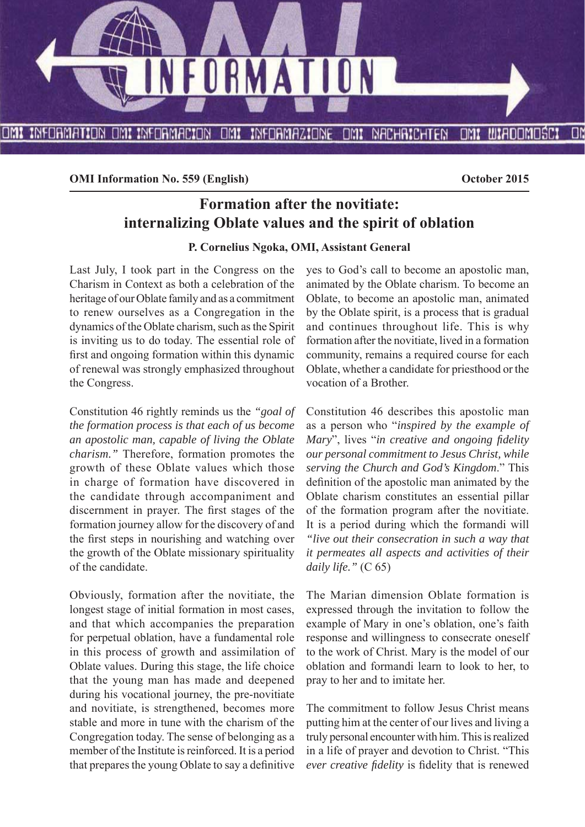

**OMI Information No. 559 (English) October 2015** 

# **Formation after the novitiate: internalizing Oblate values and the spirit of oblation**

**P. Cornelius Ngoka, OMI, Assistant General**

Last July, I took part in the Congress on the Charism in Context as both a celebration of the heritage of our Oblate family and as a commitment to renew ourselves as a Congregation in the dynamics of the Oblate charism, such as the Spirit is inviting us to do today. The essential role of first and ongoing formation within this dynamic of renewal was strongly emphasized throughout the Congress.

Constitution 46 rightly reminds us the *"goal of the formation process is that each of us become an apostolic man, capable of living the Oblate charism."* Therefore, formation promotes the growth of these Oblate values which those in charge of formation have discovered in the candidate through accompaniment and discernment in prayer. The first stages of the formation journey allow for the discovery of and the first steps in nourishing and watching over the growth of the Oblate missionary spirituality of the candidate.

Obviously, formation after the novitiate, the longest stage of initial formation in most cases, and that which accompanies the preparation for perpetual oblation, have a fundamental role in this process of growth and assimilation of Oblate values. During this stage, the life choice that the young man has made and deepened during his vocational journey, the pre-novitiate and novitiate, is strengthened, becomes more stable and more in tune with the charism of the Congregation today. The sense of belonging as a member of the Institute is reinforced. It is a period that prepares the young Oblate to say a definitive

yes to God's call to become an apostolic man, animated by the Oblate charism. To become an Oblate, to become an apostolic man, animated by the Oblate spirit, is a process that is gradual and continues throughout life. This is why formation after the novitiate, lived in a formation community, remains a required course for each Oblate, whether a candidate for priesthood or the vocation of a Brother.

Constitution 46 describes this apostolic man as a person who "*inspired by the example of Mary*", lives "*in creative and ongoing fidelity our personal commitment to Jesus Christ, while serving the Church and God's Kingdom*." This definition of the apostolic man animated by the Oblate charism constitutes an essential pillar of the formation program after the novitiate. It is a period during which the formandi will *"live out their consecration in such a way that it permeates all aspects and activities of their daily life."* (C 65)

The Marian dimension Oblate formation is expressed through the invitation to follow the example of Mary in one's oblation, one's faith response and willingness to consecrate oneself to the work of Christ. Mary is the model of our oblation and formandi learn to look to her, to pray to her and to imitate her.

The commitment to follow Jesus Christ means putting him at the center of our lives and living a truly personal encounter with him. This is realized in a life of prayer and devotion to Christ. "This *ever creative fidelity* is fidelity that is renewed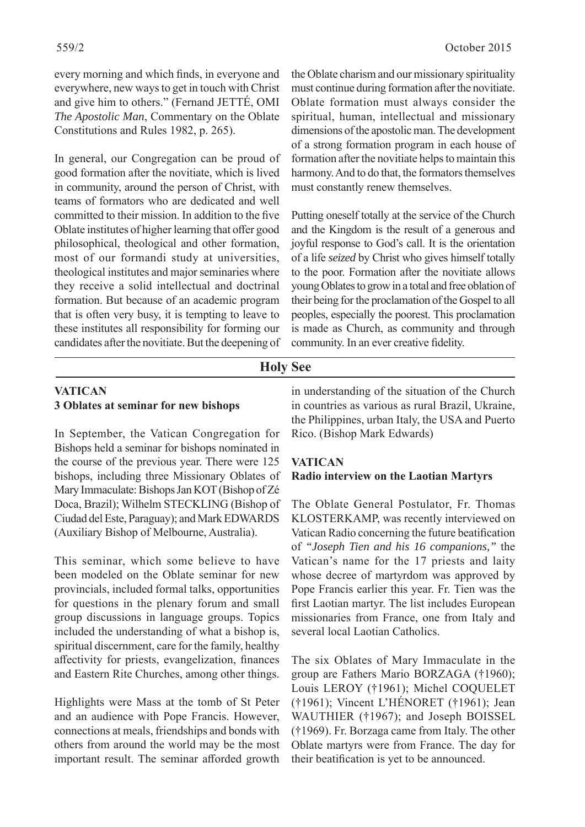every morning and which finds, in everyone and everywhere, new ways to get in touch with Christ and give him to others." (Fernand JETTÉ, OMI *The Apostolic Man*, Commentary on the Oblate Constitutions and Rules 1982, p. 265).

In general, our Congregation can be proud of good formation after the novitiate, which is lived in community, around the person of Christ, with teams of formators who are dedicated and well committed to their mission. In addition to the five Oblate institutes of higher learning that offer good philosophical, theological and other formation, most of our formandi study at universities, theological institutes and major seminaries where they receive a solid intellectual and doctrinal formation. But because of an academic program that is often very busy, it is tempting to leave to these institutes all responsibility for forming our candidates after the novitiate. But the deepening of

the Oblate charism and our missionary spirituality must continue during formation after the novitiate. Oblate formation must always consider the spiritual, human, intellectual and missionary dimensions of the apostolic man. The development of a strong formation program in each house of formation after the novitiate helps to maintain this harmony. And to do that, the formators themselves must constantly renew themselves.

Putting oneself totally at the service of the Church and the Kingdom is the result of a generous and joyful response to God's call. It is the orientation of a life *seized* by Christ who gives himself totally to the poor. Formation after the novitiate allows young Oblates to grow in a total and free oblation of their being for the proclamation of the Gospel to all peoples, especially the poorest. This proclamation is made as Church, as community and through community. In an ever creative fidelity.

#### **Holy See**

### **VATICAN 3 Oblates at seminar for new bishops**

In September, the Vatican Congregation for Bishops held a seminar for bishops nominated in the course of the previous year. There were 125 bishops, including three Missionary Oblates of Mary Immaculate: Bishops Jan KOT (Bishop of Zé Doca, Brazil); Wilhelm STECKLING (Bishop of Ciudad del Este, Paraguay); and Mark EDWARDS (Auxiliary Bishop of Melbourne, Australia).

This seminar, which some believe to have been modeled on the Oblate seminar for new provincials, included formal talks, opportunities for questions in the plenary forum and small group discussions in language groups. Topics included the understanding of what a bishop is, spiritual discernment, care for the family, healthy affectivity for priests, evangelization, finances and Eastern Rite Churches, among other things.

Highlights were Mass at the tomb of St Peter and an audience with Pope Francis. However, connections at meals, friendships and bonds with others from around the world may be the most important result. The seminar afforded growth in understanding of the situation of the Church in countries as various as rural Brazil, Ukraine, the Philippines, urban Italy, the USA and Puerto Rico. (Bishop Mark Edwards)

#### **VATICAN Radio interview on the Laotian Martyrs**

The Oblate General Postulator, Fr. Thomas KLOSTERKAMP, was recently interviewed on Vatican Radio concerning the future beatification of *"Joseph Tien and his 16 companions,"* the Vatican's name for the 17 priests and laity whose decree of martyrdom was approved by Pope Francis earlier this year. Fr. Tien was the first Laotian martyr. The list includes European missionaries from France, one from Italy and several local Laotian Catholics.

The six Oblates of Mary Immaculate in the group are Fathers Mario BORZAGA (†1960); Louis LEROY (†1961); Michel COQUELET (†1961); Vincent L'HÉNORET (†1961); Jean WAUTHIER (†1967); and Joseph BOISSEL (†1969). Fr. Borzaga came from Italy. The other Oblate martyrs were from France. The day for their beatification is yet to be announced.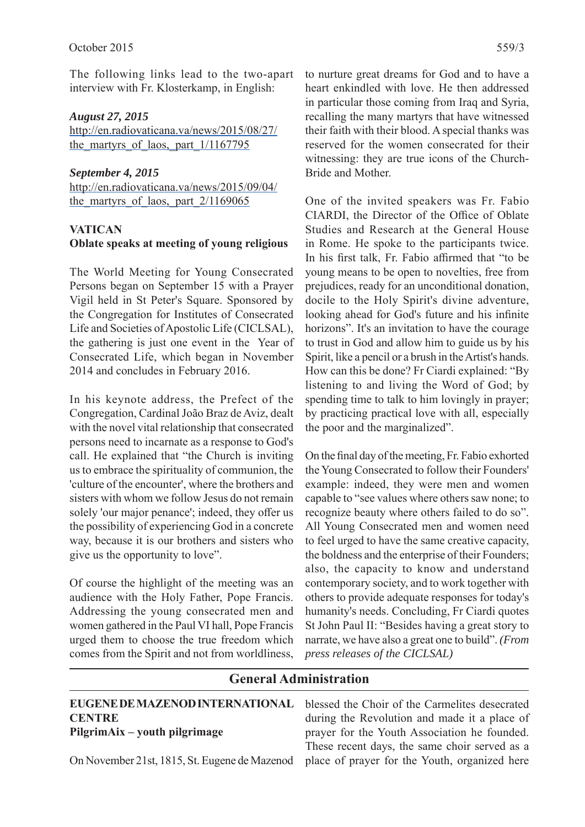The following links lead to the two-apart interview with Fr. Klosterkamp, in English:

#### *August 27, 2015*

http://en.radiovaticana.va/news/2015/08/27/ the martyrs of laos, part  $1/1167795$ 

#### *September 4, 2015*

http://en.radiovaticana.va/news/2015/09/04/ the martyrs of laos, part  $2/1169065$ 

#### **VATICAN**

# **Oblate speaks at meeting of young religious**

The World Meeting for Young Consecrated Persons began on September 15 with a Prayer Vigil held in St Peter's Square. Sponsored by the Congregation for Institutes of Consecrated Life and Societies of Apostolic Life (CICLSAL), the gathering is just one event in the Year of Consecrated Life, which began in November 2014 and concludes in February 2016.

In his keynote address, the Prefect of the Congregation, Cardinal João Braz de Aviz, dealt with the novel vital relationship that consecrated persons need to incarnate as a response to God's call. He explained that "the Church is inviting us to embrace the spirituality of communion, the 'culture of the encounter', where the brothers and sisters with whom we follow Jesus do not remain solely 'our major penance'; indeed, they offer us the possibility of experiencing God in a concrete way, because it is our brothers and sisters who give us the opportunity to love".

Of course the highlight of the meeting was an audience with the Holy Father, Pope Francis. Addressing the young consecrated men and women gathered in the Paul VI hall, Pope Francis urged them to choose the true freedom which comes from the Spirit and not from worldliness,

to nurture great dreams for God and to have a heart enkindled with love. He then addressed in particular those coming from Iraq and Syria, recalling the many martyrs that have witnessed their faith with their blood. A special thanks was reserved for the women consecrated for their witnessing: they are true icons of the Church-Bride and Mother.

One of the invited speakers was Fr. Fabio CIARDI, the Director of the Office of Oblate Studies and Research at the General House in Rome. He spoke to the participants twice. In his first talk, Fr. Fabio affirmed that "to be young means to be open to novelties, free from prejudices, ready for an unconditional donation, docile to the Holy Spirit's divine adventure, looking ahead for God's future and his infinite horizons". It's an invitation to have the courage to trust in God and allow him to guide us by his Spirit, like a pencil or a brush in the Artist's hands. How can this be done? Fr Ciardi explained: "By listening to and living the Word of God; by spending time to talk to him lovingly in prayer; by practicing practical love with all, especially the poor and the marginalized".

On the final day of the meeting, Fr. Fabio exhorted the Young Consecrated to follow their Founders' example: indeed, they were men and women capable to "see values where others saw none; to recognize beauty where others failed to do so". All Young Consecrated men and women need to feel urged to have the same creative capacity, the boldness and the enterprise of their Founders; also, the capacity to know and understand contemporary society, and to work together with others to provide adequate responses for today's humanity's needs. Concluding, Fr Ciardi quotes St John Paul II: "Besides having a great story to narrate, we have also a great one to build". *(From press releases of the CICLSAL)*

#### **General Administration EUGENE DE MAZENOD INTERNATIONAL CENTRE PilgrimAix – youth pilgrimage** On November 21st, 1815, St. Eugene de Mazenod blessed the Choir of the Carmelites desecrated during the Revolution and made it a place of prayer for the Youth Association he founded. These recent days, the same choir served as a place of prayer for the Youth, organized here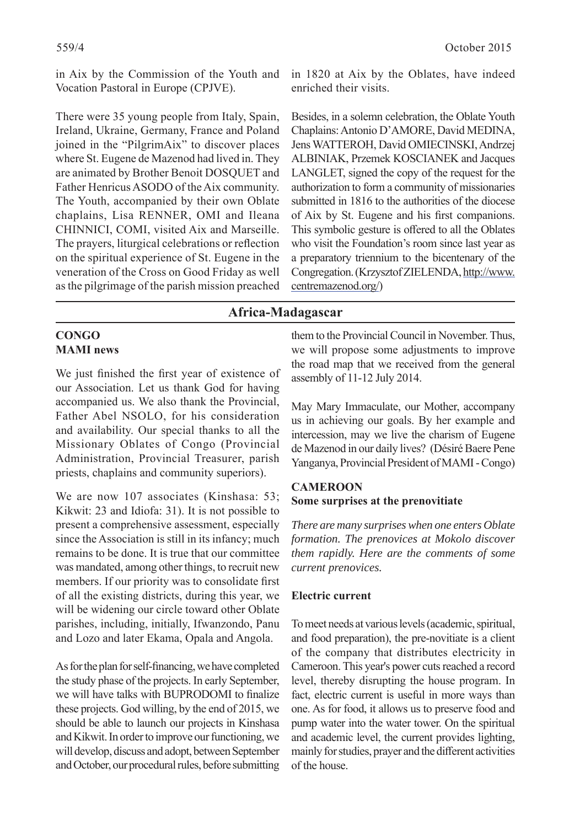in Aix by the Commission of the Youth and Vocation Pastoral in Europe (CPJVE).

There were 35 young people from Italy, Spain, Ireland, Ukraine, Germany, France and Poland joined in the "PilgrimAix" to discover places where St. Eugene de Mazenod had lived in. They are animated by Brother Benoit DOSQUET and Father Henricus ASODO of the Aix community. The Youth, accompanied by their own Oblate chaplains, Lisa RENNER, OMI and Ileana CHINNICI, COMI, visited Aix and Marseille. The prayers, liturgical celebrations or reflection on the spiritual experience of St. Eugene in the veneration of the Cross on Good Friday as well as the pilgrimage of the parish mission preached in 1820 at Aix by the Oblates, have indeed enriched their visits.

Besides, in a solemn celebration, the Oblate Youth Chaplains: Antonio D'AMORE, David MEDINA, Jens WATTEROH, David OMIECINSKI, Andrzej ALBINIAK, Przemek KOSCIANEK and Jacques LANGLET, signed the copy of the request for the authorization to form a community of missionaries submitted in 1816 to the authorities of the diocese of Aix by St. Eugene and his first companions. This symbolic gesture is offered to all the Oblates who visit the Foundation's room since last year as a preparatory triennium to the bicentenary of the Congregation. (Krzysztof ZIELENDA, http://www. centremazenod.org/)

## **Africa-Madagascar**

#### **CONGO MAMI news**

We just finished the first year of existence of our Association. Let us thank God for having accompanied us. We also thank the Provincial, Father Abel NSOLO, for his consideration and availability. Our special thanks to all the Missionary Oblates of Congo (Provincial Administration, Provincial Treasurer, parish priests, chaplains and community superiors).

We are now 107 associates (Kinshasa: 53; Kikwit: 23 and Idiofa: 31). It is not possible to present a comprehensive assessment, especially since the Association is still in its infancy; much remains to be done. It is true that our committee was mandated, among other things, to recruit new members. If our priority was to consolidate first of all the existing districts, during this year, we will be widening our circle toward other Oblate parishes, including, initially, Ifwanzondo, Panu and Lozo and later Ekama, Opala and Angola.

As for the plan for self-financing, we have completed the study phase of the projects. In early September, we will have talks with BUPRODOMI to finalize these projects. God willing, by the end of 2015, we should be able to launch our projects in Kinshasa and Kikwit. In order to improve our functioning, we will develop, discuss and adopt, between September and October, our procedural rules, before submitting

them to the Provincial Council in November. Thus, we will propose some adjustments to improve the road map that we received from the general assembly of 11-12 July 2014.

May Mary Immaculate, our Mother, accompany us in achieving our goals. By her example and intercession, may we live the charism of Eugene de Mazenod in our daily lives? (Désiré Baere Pene Yanganya, Provincial President of MAMI - Congo)

#### **CAMEROON Some surprises at the prenovitiate**

*There are many surprises when one enters Oblate formation. The prenovices at Mokolo discover them rapidly. Here are the comments of some current prenovices.*

#### **Electric current**

To meet needs at various levels (academic, spiritual, and food preparation), the pre-novitiate is a client of the company that distributes electricity in Cameroon. This year's power cuts reached a record level, thereby disrupting the house program. In fact, electric current is useful in more ways than one. As for food, it allows us to preserve food and pump water into the water tower. On the spiritual and academic level, the current provides lighting, mainly for studies, prayer and the different activities of the house.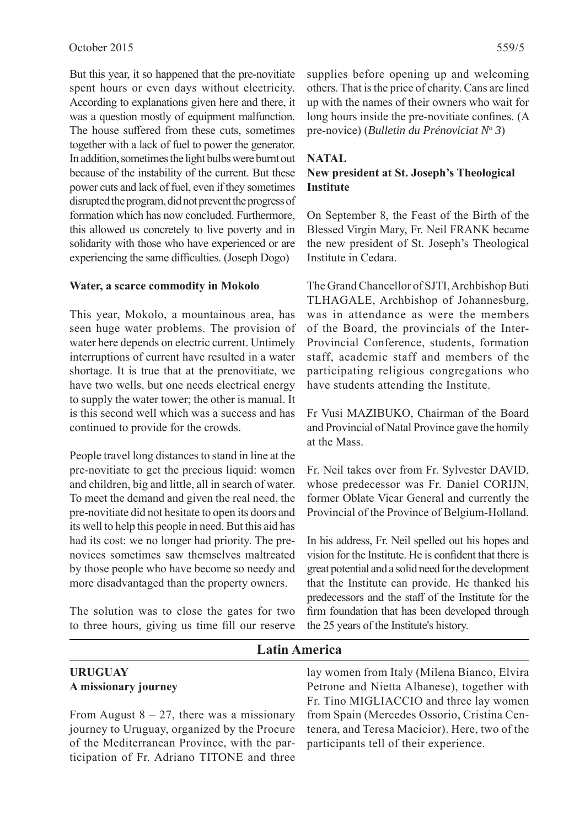But this year, it so happened that the pre-novitiate spent hours or even days without electricity. According to explanations given here and there, it was a question mostly of equipment malfunction. The house suffered from these cuts, sometimes together with a lack of fuel to power the generator. In addition, sometimes the light bulbs were burnt out because of the instability of the current. But these power cuts and lack of fuel, even if they sometimes disrupted the program, did not prevent the progress of formation which has now concluded. Furthermore, this allowed us concretely to live poverty and in solidarity with those who have experienced or are experiencing the same difficulties. (Joseph Dogo)

#### **Water, a scarce commodity in Mokolo**

This year, Mokolo, a mountainous area, has seen huge water problems. The provision of water here depends on electric current. Untimely interruptions of current have resulted in a water shortage. It is true that at the prenovitiate, we have two wells, but one needs electrical energy to supply the water tower; the other is manual. It is this second well which was a success and has continued to provide for the crowds.

People travel long distances to stand in line at the pre-novitiate to get the precious liquid: women and children, big and little, all in search of water. To meet the demand and given the real need, the pre-novitiate did not hesitate to open its doors and its well to help this people in need. But this aid has had its cost: we no longer had priority. The prenovices sometimes saw themselves maltreated by those people who have become so needy and more disadvantaged than the property owners.

The solution was to close the gates for two to three hours, giving us time fill our reserve supplies before opening up and welcoming others. That is the price of charity. Cans are lined up with the names of their owners who wait for long hours inside the pre-novitiate confines. (A pre-novice) (*Bulletin du Prénoviciat No 3*)

#### **NATAL**

#### **New president at St. Joseph's Theological Institute**

On September 8, the Feast of the Birth of the Blessed Virgin Mary, Fr. Neil FRANK became the new president of St. Joseph's Theological Institute in Cedara.

The Grand Chancellor of SJTI, Archbishop Buti TLHAGALE, Archbishop of Johannesburg, was in attendance as were the members of the Board, the provincials of the Inter-Provincial Conference, students, formation staff, academic staff and members of the participating religious congregations who have students attending the Institute.

Fr Vusi MAZIBUKO, Chairman of the Board and Provincial of Natal Province gave the homily at the Mass.

Fr. Neil takes over from Fr. Sylvester DAVID, whose predecessor was Fr. Daniel CORIJN, former Oblate Vicar General and currently the Provincial of the Province of Belgium-Holland.

In his address, Fr. Neil spelled out his hopes and vision for the Institute. He is confident that there is great potential and a solid need for the development that the Institute can provide. He thanked his predecessors and the staff of the Institute for the firm foundation that has been developed through the 25 years of the Institute's history.

#### **Latin America**

#### **URUGUAY A missionary journey**

From August  $8 - 27$ , there was a missionary journey to Uruguay, organized by the Procure of the Mediterranean Province, with the participation of Fr. Adriano TITONE and three lay women from Italy (Milena Bianco, Elvira Petrone and Nietta Albanese), together with Fr. Tino MIGLIACCIO and three lay women from Spain (Mercedes Ossorio, Cristina Centenera, and Teresa Macicior). Here, two of the participants tell of their experience.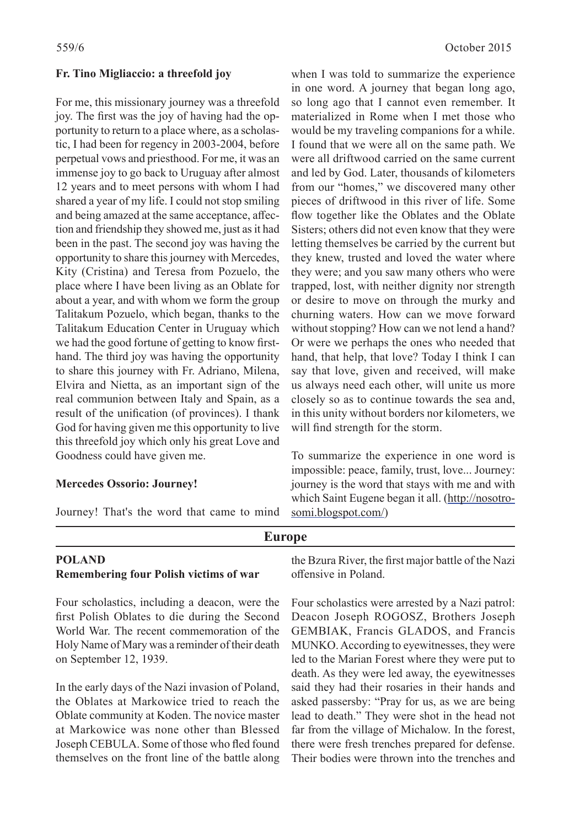#### **Fr. Tino Migliaccio: a threefold joy**

For me, this missionary journey was a threefold joy. The first was the joy of having had the opportunity to return to a place where, as a scholastic, I had been for regency in 2003-2004, before perpetual vows and priesthood. For me, it was an immense joy to go back to Uruguay after almost 12 years and to meet persons with whom I had shared a year of my life. I could not stop smiling and being amazed at the same acceptance, affection and friendship they showed me, just as it had been in the past. The second joy was having the opportunity to share this journey with Mercedes, Kity (Cristina) and Teresa from Pozuelo, the place where I have been living as an Oblate for about a year, and with whom we form the group Talitakum Pozuelo, which began, thanks to the Talitakum Education Center in Uruguay which we had the good fortune of getting to know firsthand. The third joy was having the opportunity to share this journey with Fr. Adriano, Milena, Elvira and Nietta, as an important sign of the real communion between Italy and Spain, as a result of the unification (of provinces). I thank God for having given me this opportunity to live this threefold joy which only his great Love and Goodness could have given me.

#### **Mercedes Ossorio: Journey!**

Journey! That's the word that came to mind

**Europe**

when I was told to summarize the experience in one word. A journey that began long ago, so long ago that I cannot even remember. It materialized in Rome when I met those who would be my traveling companions for a while. I found that we were all on the same path. We were all driftwood carried on the same current and led by God. Later, thousands of kilometers from our "homes," we discovered many other pieces of driftwood in this river of life. Some flow together like the Oblates and the Oblate Sisters; others did not even know that they were letting themselves be carried by the current but they knew, trusted and loved the water where they were; and you saw many others who were trapped, lost, with neither dignity nor strength or desire to move on through the murky and churning waters. How can we move forward without stopping? How can we not lend a hand? Or were we perhaps the ones who needed that hand, that help, that love? Today I think I can say that love, given and received, will make us always need each other, will unite us more closely so as to continue towards the sea and, in this unity without borders nor kilometers, we will find strength for the storm.

To summarize the experience in one word is impossible: peace, family, trust, love... Journey: journey is the word that stays with me and with which Saint Eugene began it all. (http://nosotrosomi.blogspot.com/)

# **POLAND Remembering four Polish victims of war**

Four scholastics, including a deacon, were the first Polish Oblates to die during the Second World War. The recent commemoration of the Holy Name of Mary was a reminder of their death on September 12, 1939.

In the early days of the Nazi invasion of Poland, the Oblates at Markowice tried to reach the Oblate community at Koden. The novice master at Markowice was none other than Blessed Joseph CEBULA. Some of those who fled found themselves on the front line of the battle along the Bzura River, the first major battle of the Nazi offensive in Poland.

Four scholastics were arrested by a Nazi patrol: Deacon Joseph ROGOSZ, Brothers Joseph GEMBIAK, Francis GLADOS, and Francis MUNKO. According to eyewitnesses, they were led to the Marian Forest where they were put to death. As they were led away, the eyewitnesses said they had their rosaries in their hands and asked passersby: "Pray for us, as we are being lead to death." They were shot in the head not far from the village of Michalow. In the forest, there were fresh trenches prepared for defense. Their bodies were thrown into the trenches and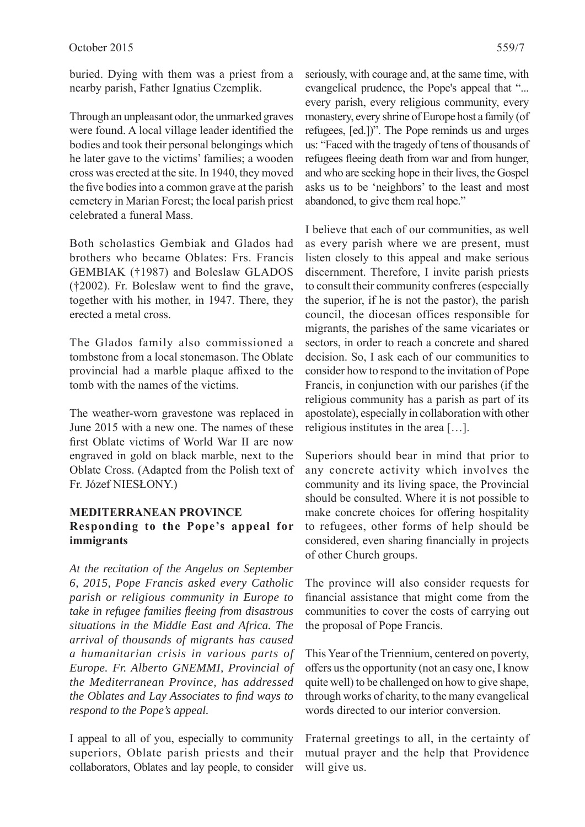buried. Dying with them was a priest from a nearby parish, Father Ignatius Czemplik.

Through an unpleasant odor, the unmarked graves were found. A local village leader identified the bodies and took their personal belongings which he later gave to the victims' families; a wooden cross was erected at the site. In 1940, they moved the five bodies into a common grave at the parish cemetery in Marian Forest; the local parish priest celebrated a funeral Mass.

Both scholastics Gembiak and Glados had brothers who became Oblates: Frs. Francis GEMBIAK (†1987) and Boleslaw GLADOS  $(†2002)$ . Fr. Boleslaw went to find the grave, together with his mother, in 1947. There, they erected a metal cross.

The Glados family also commissioned a tombstone from a local stonemason. The Oblate provincial had a marble plaque affixed to the tomb with the names of the victims.

The weather-worn gravestone was replaced in June 2015 with a new one. The names of these first Oblate victims of World War II are now engraved in gold on black marble, next to the Oblate Cross. (Adapted from the Polish text of Fr. Józef NIESŁONY.)

#### **MEDITERRANEAN PROVINCE Responding to the Pope's appeal for immigrants**

*At the recitation of the Angelus on September 6, 2015, Pope Francis asked every Catholic parish or religious community in Europe to take in refugee families fl eeing from disastrous situations in the Middle East and Africa. The arrival of thousands of migrants has caused a humanitarian crisis in various parts of Europe. Fr. Alberto GNEMMI, Provincial of the Mediterranean Province, has addressed the Oblates and Lay Associates to find ways to respond to the Pope's appeal.*

I appeal to all of you, especially to community superiors, Oblate parish priests and their collaborators, Oblates and lay people, to consider seriously, with courage and, at the same time, with evangelical prudence, the Pope's appeal that "... every parish, every religious community, every monastery, every shrine of Europe host a family (of refugees, [ed.])". The Pope reminds us and urges us: "Faced with the tragedy of tens of thousands of refugees fleeing death from war and from hunger, and who are seeking hope in their lives, the Gospel asks us to be 'neighbors' to the least and most abandoned, to give them real hope."

I believe that each of our communities, as well as every parish where we are present, must listen closely to this appeal and make serious discernment. Therefore, I invite parish priests to consult their community confreres (especially the superior, if he is not the pastor), the parish council, the diocesan offices responsible for migrants, the parishes of the same vicariates or sectors, in order to reach a concrete and shared decision. So, I ask each of our communities to consider how to respond to the invitation of Pope Francis, in conjunction with our parishes (if the religious community has a parish as part of its apostolate), especially in collaboration with other religious institutes in the area […].

Superiors should bear in mind that prior to any concrete activity which involves the community and its living space, the Provincial should be consulted. Where it is not possible to make concrete choices for offering hospitality to refugees, other forms of help should be considered, even sharing financially in projects of other Church groups.

The province will also consider requests for financial assistance that might come from the communities to cover the costs of carrying out the proposal of Pope Francis.

This Year of the Triennium, centered on poverty, offers us the opportunity (not an easy one, I know quite well) to be challenged on how to give shape, through works of charity, to the many evangelical words directed to our interior conversion.

Fraternal greetings to all, in the certainty of mutual prayer and the help that Providence will give us.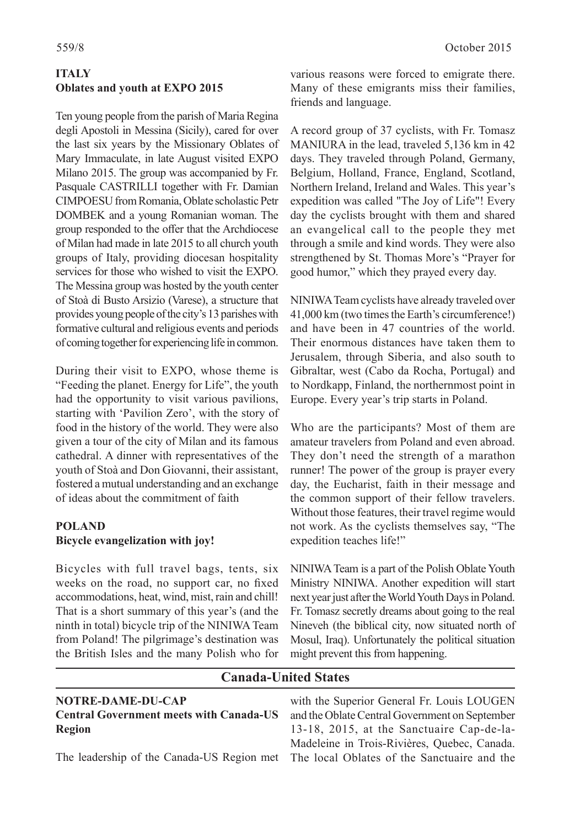# **ITALY Oblates and youth at EXPO 2015**

Ten young people from the parish of Maria Regina degli Apostoli in Messina (Sicily), cared for over the last six years by the Missionary Oblates of Mary Immaculate, in late August visited EXPO Milano 2015. The group was accompanied by Fr. Pasquale CASTRILLI together with Fr. Damian CIMPOESU from Romania, Oblate scholastic Petr DOMBEK and a young Romanian woman. The group responded to the offer that the Archdiocese of Milan had made in late 2015 to all church youth groups of Italy, providing diocesan hospitality services for those who wished to visit the EXPO. The Messina group was hosted by the youth center of Stoà di Busto Arsizio (Varese), a structure that provides young people of the city's 13 parishes with formative cultural and religious events and periods of coming together for experiencing life in common.

During their visit to EXPO, whose theme is "Feeding the planet. Energy for Life", the youth had the opportunity to visit various pavilions, starting with 'Pavilion Zero', with the story of food in the history of the world. They were also given a tour of the city of Milan and its famous cathedral. A dinner with representatives of the youth of Stoà and Don Giovanni, their assistant, fostered a mutual understanding and an exchange of ideas about the commitment of faith

#### **POLAND Bicycle evangelization with joy!**

Bicycles with full travel bags, tents, six weeks on the road, no support car, no fixed accommodations, heat, wind, mist, rain and chill! That is a short summary of this year's (and the ninth in total) bicycle trip of the NINIWA Team from Poland! The pilgrimage's destination was the British Isles and the many Polish who for

various reasons were forced to emigrate there. Many of these emigrants miss their families, friends and language.

A record group of 37 cyclists, with Fr. Tomasz MANIURA in the lead, traveled 5,136 km in 42 days. They traveled through Poland, Germany, Belgium, Holland, France, England, Scotland, Northern Ireland, Ireland and Wales. This year's expedition was called "The Joy of Life"! Every day the cyclists brought with them and shared an evangelical call to the people they met through a smile and kind words. They were also strengthened by St. Thomas More's "Prayer for good humor," which they prayed every day.

NINIWA Team cyclists have already traveled over 41,000 km (two times the Earth's circumference!) and have been in 47 countries of the world. Their enormous distances have taken them to Jerusalem, through Siberia, and also south to Gibraltar, west (Cabo da Rocha, Portugal) and to Nordkapp, Finland, the northernmost point in Europe. Every year's trip starts in Poland.

Who are the participants? Most of them are amateur travelers from Poland and even abroad. They don't need the strength of a marathon runner! The power of the group is prayer every day, the Eucharist, faith in their message and the common support of their fellow travelers. Without those features, their travel regime would not work. As the cyclists themselves say, "The expedition teaches life!"

NINIWA Team is a part of the Polish Oblate Youth Ministry NINIWA. Another expedition will start next year just after the World Youth Days in Poland. Fr. Tomasz secretly dreams about going to the real Nineveh (the biblical city, now situated north of Mosul, Iraq). Unfortunately the political situation might prevent this from happening.

# **NOTRE-DAME-DU-CAP Central Government meets with Canada-US Region**

**Canada-United States**

The leadership of the Canada-US Region met

with the Superior General Fr. Louis LOUGEN and the Oblate Central Government on September 13-18, 2015, at the Sanctuaire Cap-de-la-Madeleine in Trois-Rivières, Quebec, Canada. The local Oblates of the Sanctuaire and the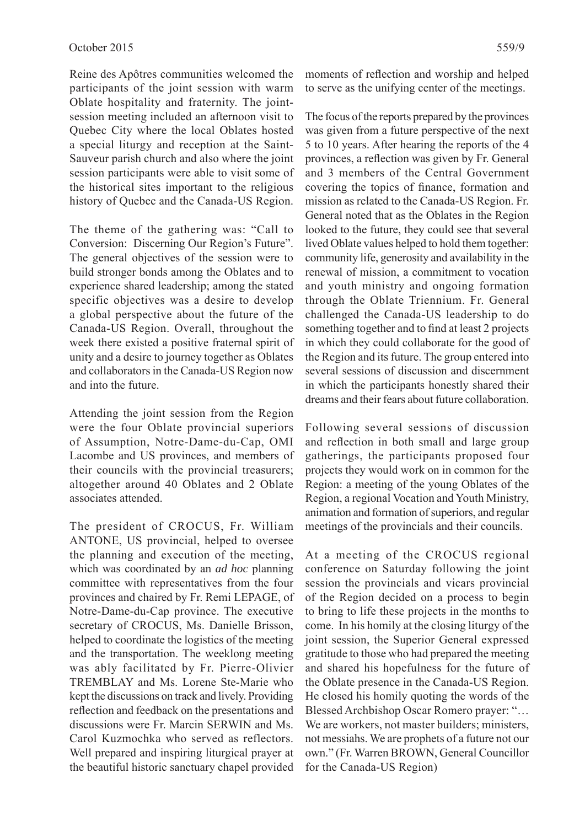Reine des Apôtres communities welcomed the participants of the joint session with warm Oblate hospitality and fraternity. The jointsession meeting included an afternoon visit to Quebec City where the local Oblates hosted a special liturgy and reception at the Saint-Sauveur parish church and also where the joint session participants were able to visit some of the historical sites important to the religious history of Quebec and the Canada-US Region.

The theme of the gathering was: "Call to Conversion: Discerning Our Region's Future". The general objectives of the session were to build stronger bonds among the Oblates and to experience shared leadership; among the stated specific objectives was a desire to develop a global perspective about the future of the Canada-US Region. Overall, throughout the week there existed a positive fraternal spirit of unity and a desire to journey together as Oblates and collaborators in the Canada-US Region now and into the future.

Attending the joint session from the Region were the four Oblate provincial superiors of Assumption, Notre-Dame-du-Cap, OMI Lacombe and US provinces, and members of their councils with the provincial treasurers; altogether around 40 Oblates and 2 Oblate associates attended.

The president of CROCUS, Fr. William ANTONE, US provincial, helped to oversee the planning and execution of the meeting, which was coordinated by an *ad hoc* planning committee with representatives from the four provinces and chaired by Fr. Remi LEPAGE, of Notre-Dame-du-Cap province. The executive secretary of CROCUS, Ms. Danielle Brisson, helped to coordinate the logistics of the meeting and the transportation. The weeklong meeting was ably facilitated by Fr. Pierre-Olivier TREMBLAY and Ms. Lorene Ste-Marie who kept the discussions on track and lively. Providing reflection and feedback on the presentations and discussions were Fr. Marcin SERWIN and Ms. Carol Kuzmochka who served as reflectors. Well prepared and inspiring liturgical prayer at the beautiful historic sanctuary chapel provided

moments of reflection and worship and helped to serve as the unifying center of the meetings.

The focus of the reports prepared by the provinces was given from a future perspective of the next 5 to 10 years. After hearing the reports of the 4 provinces, a reflection was given by Fr. General and 3 members of the Central Government covering the topics of finance, formation and mission as related to the Canada-US Region. Fr. General noted that as the Oblates in the Region looked to the future, they could see that several lived Oblate values helped to hold them together: community life, generosity and availability in the renewal of mission, a commitment to vocation and youth ministry and ongoing formation through the Oblate Triennium. Fr. General challenged the Canada-US leadership to do something together and to find at least 2 projects in which they could collaborate for the good of the Region and its future. The group entered into several sessions of discussion and discernment in which the participants honestly shared their dreams and their fears about future collaboration.

Following several sessions of discussion and reflection in both small and large group gatherings, the participants proposed four projects they would work on in common for the Region: a meeting of the young Oblates of the Region, a regional Vocation and Youth Ministry, animation and formation of superiors, and regular meetings of the provincials and their councils.

At a meeting of the CROCUS regional conference on Saturday following the joint session the provincials and vicars provincial of the Region decided on a process to begin to bring to life these projects in the months to come. In his homily at the closing liturgy of the joint session, the Superior General expressed gratitude to those who had prepared the meeting and shared his hopefulness for the future of the Oblate presence in the Canada-US Region. He closed his homily quoting the words of the Blessed Archbishop Oscar Romero prayer: "… We are workers, not master builders; ministers, not messiahs. We are prophets of a future not our own." (Fr. Warren BROWN, General Councillor for the Canada-US Region)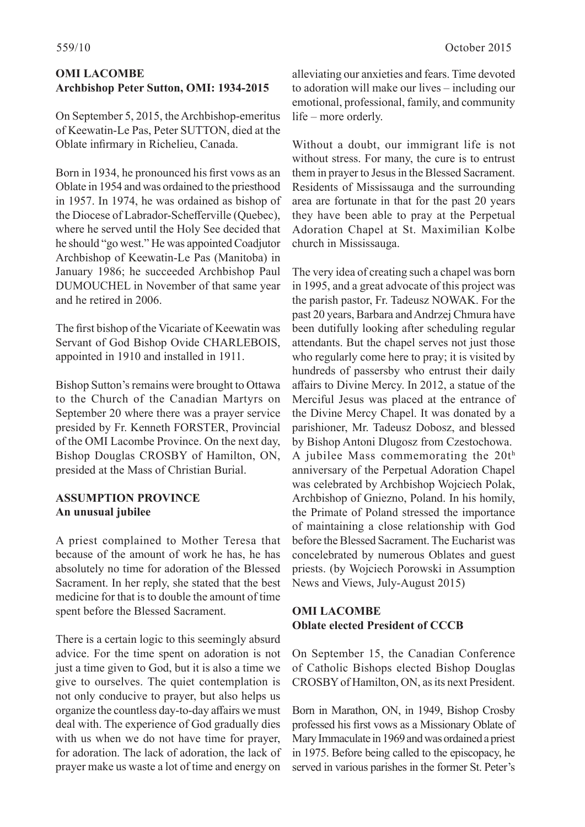### **OMI LACOMBE Archbishop Peter Sutton, OMI: 1934-2015**

On September 5, 2015, the Archbishop-emeritus of Keewatin-Le Pas, Peter SUTTON, died at the Oblate infirmary in Richelieu, Canada.

Born in 1934, he pronounced his first vows as an Oblate in 1954 and was ordained to the priesthood in 1957. In 1974, he was ordained as bishop of the Diocese of Labrador-Schefferville (Quebec), where he served until the Holy See decided that he should "go west." He was appointed Coadjutor Archbishop of Keewatin-Le Pas (Manitoba) in January 1986; he succeeded Archbishop Paul DUMOUCHEL in November of that same year and he retired in 2006.

The first bishop of the Vicariate of Keewatin was Servant of God Bishop Ovide CHARLEBOIS, appointed in 1910 and installed in 1911.

Bishop Sutton's remains were brought to Ottawa to the Church of the Canadian Martyrs on September 20 where there was a prayer service presided by Fr. Kenneth FORSTER, Provincial of the OMI Lacombe Province. On the next day, Bishop Douglas CROSBY of Hamilton, ON, presided at the Mass of Christian Burial.

#### **ASSUMPTION PROVINCE An unusual jubilee**

A priest complained to Mother Teresa that because of the amount of work he has, he has absolutely no time for adoration of the Blessed Sacrament. In her reply, she stated that the best medicine for that is to double the amount of time spent before the Blessed Sacrament.

There is a certain logic to this seemingly absurd advice. For the time spent on adoration is not just a time given to God, but it is also a time we give to ourselves. The quiet contemplation is not only conducive to prayer, but also helps us organize the countless day-to-day affairs we must deal with. The experience of God gradually dies with us when we do not have time for prayer. for adoration. The lack of adoration, the lack of prayer make us waste a lot of time and energy on

alleviating our anxieties and fears. Time devoted to adoration will make our lives – including our emotional, professional, family, and community life – more orderly.

Without a doubt, our immigrant life is not without stress. For many, the cure is to entrust them in prayer to Jesus in the Blessed Sacrament. Residents of Mississauga and the surrounding area are fortunate in that for the past 20 years they have been able to pray at the Perpetual Adoration Chapel at St. Maximilian Kolbe church in Mississauga.

The very idea of creating such a chapel was born in 1995, and a great advocate of this project was the parish pastor, Fr. Tadeusz NOWAK. For the past 20 years, Barbara and Andrzej Chmura have been dutifully looking after scheduling regular attendants. But the chapel serves not just those who regularly come here to pray; it is visited by hundreds of passersby who entrust their daily affairs to Divine Mercy. In 2012, a statue of the Merciful Jesus was placed at the entrance of the Divine Mercy Chapel. It was donated by a parishioner, Mr. Tadeusz Dobosz, and blessed by Bishop Antoni Dlugosz from Czestochowa. A jubilee Mass commemorating the 20th anniversary of the Perpetual Adoration Chapel was celebrated by Archbishop Wojciech Polak, Archbishop of Gniezno, Poland. In his homily, the Primate of Poland stressed the importance of maintaining a close relationship with God before the Blessed Sacrament. The Eucharist was concelebrated by numerous Oblates and guest priests. (by Wojciech Porowski in Assumption News and Views, July-August 2015)

# **OMI LACOMBE Oblate elected President of CCCB**

On September 15, the Canadian Conference of Catholic Bishops elected Bishop Douglas CROSBY of Hamilton, ON, as its next President.

Born in Marathon, ON, in 1949, Bishop Crosby professed his first vows as a Missionary Oblate of Mary Immaculate in 1969 and was ordained a priest in 1975. Before being called to the episcopacy, he served in various parishes in the former St. Peter's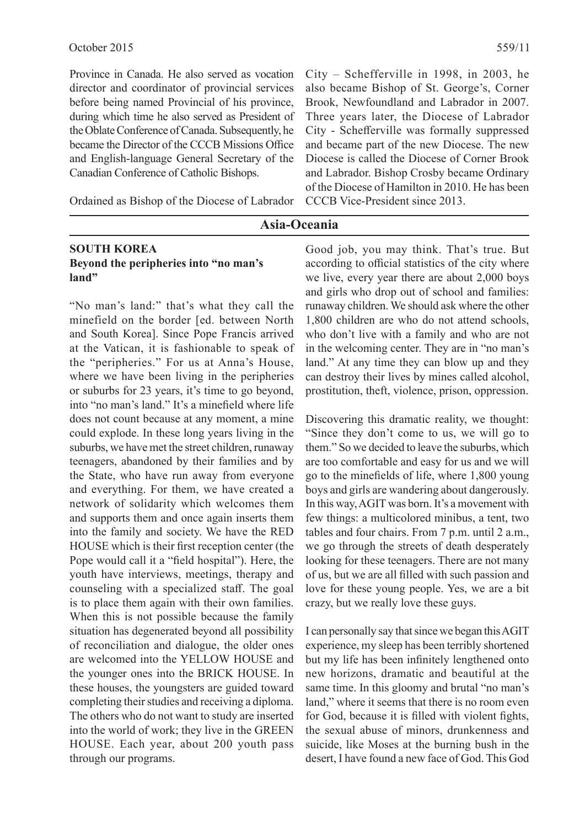Province in Canada. He also served as vocation director and coordinator of provincial services before being named Provincial of his province, during which time he also served as President of the Oblate Conference of Canada. Subsequently, he became the Director of the CCCB Missions Office and English-language General Secretary of the Canadian Conference of Catholic Bishops.

Ordained as Bishop of the Diocese of Labrador

City – Schefferville in 1998, in 2003, he also became Bishop of St. George's, Corner Brook, Newfoundland and Labrador in 2007. Three years later, the Diocese of Labrador City - Schefferville was formally suppressed and became part of the new Diocese. The new Diocese is called the Diocese of Corner Brook and Labrador. Bishop Crosby became Ordinary of the Diocese of Hamilton in 2010. He has been CCCB Vice-President since 2013.

### **Asia-Oceania**

#### **SOUTH KOREA Beyond the peripheries into "no man's land"**

"No man's land:" that's what they call the minefield on the border [ed. between North and South Korea]. Since Pope Francis arrived at the Vatican, it is fashionable to speak of the "peripheries." For us at Anna's House, where we have been living in the peripheries or suburbs for 23 years, it's time to go beyond, into "no man's land." It's a minefield where life does not count because at any moment, a mine could explode. In these long years living in the suburbs, we have met the street children, runaway teenagers, abandoned by their families and by the State, who have run away from everyone and everything. For them, we have created a network of solidarity which welcomes them and supports them and once again inserts them into the family and society. We have the RED HOUSE which is their first reception center (the Pope would call it a "field hospital"). Here, the youth have interviews, meetings, therapy and counseling with a specialized staff. The goal is to place them again with their own families. When this is not possible because the family situation has degenerated beyond all possibility of reconciliation and dialogue, the older ones are welcomed into the YELLOW HOUSE and the younger ones into the BRICK HOUSE. In these houses, the youngsters are guided toward completing their studies and receiving a diploma. The others who do not want to study are inserted into the world of work; they live in the GREEN HOUSE. Each year, about 200 youth pass through our programs.

Good job, you may think. That's true. But according to official statistics of the city where we live, every year there are about 2,000 boys and girls who drop out of school and families: runaway children. We should ask where the other 1,800 children are who do not attend schools, who don't live with a family and who are not in the welcoming center. They are in "no man's land." At any time they can blow up and they can destroy their lives by mines called alcohol, prostitution, theft, violence, prison, oppression.

Discovering this dramatic reality, we thought: "Since they don't come to us, we will go to them." So we decided to leave the suburbs, which are too comfortable and easy for us and we will go to the minefields of life, where  $1,800$  young boys and girls are wandering about dangerously. In this way, AGIT was born. It's a movement with few things: a multicolored minibus, a tent, two tables and four chairs. From 7 p.m. until 2 a.m., we go through the streets of death desperately looking for these teenagers. There are not many of us, but we are all filled with such passion and love for these young people. Yes, we are a bit crazy, but we really love these guys.

I can personally say that since we began this AGIT experience, my sleep has been terribly shortened but my life has been infinitely lengthened onto new horizons, dramatic and beautiful at the same time. In this gloomy and brutal "no man's land," where it seems that there is no room even for God, because it is filled with violent fights, the sexual abuse of minors, drunkenness and suicide, like Moses at the burning bush in the desert, I have found a new face of God. This God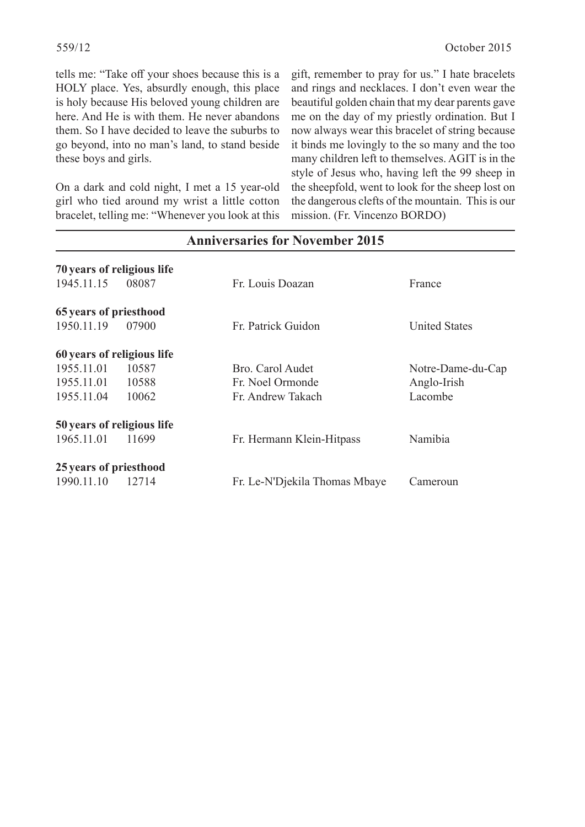tells me: "Take off your shoes because this is a HOLY place. Yes, absurdly enough, this place is holy because His beloved young children are here. And He is with them. He never abandons them. So I have decided to leave the suburbs to go beyond, into no man's land, to stand beside these boys and girls.

On a dark and cold night, I met a 15 year-old girl who tied around my wrist a little cotton bracelet, telling me: "Whenever you look at this gift, remember to pray for us." I hate bracelets and rings and necklaces. I don't even wear the beautiful golden chain that my dear parents gave me on the day of my priestly ordination. But I now always wear this bracelet of string because it binds me lovingly to the so many and the too many children left to themselves. AGIT is in the style of Jesus who, having left the 99 sheep in the sheepfold, went to look for the sheep lost on the dangerous clefts of the mountain. This is our mission. (Fr. Vincenzo BORDO)

| 70 years of religious life |       |                               |                      |
|----------------------------|-------|-------------------------------|----------------------|
| 1945.11.15                 | 08087 | Fr. Louis Doazan              | France               |
| 65 years of priesthood     |       |                               |                      |
| 1950.11.19                 | 07900 | Fr. Patrick Guidon            | <b>United States</b> |
| 60 years of religious life |       |                               |                      |
| 1955.11.01                 | 10587 | Bro. Carol Audet              | Notre-Dame-du-Cap    |
| 1955.11.01                 | 10588 | Fr. Noel Ormonde              | Anglo-Irish          |
| 1955.11.04                 | 10062 | Fr. Andrew Takach             | Lacombe              |
| 50 years of religious life |       |                               |                      |
| 1965.11.01                 | 11699 | Fr. Hermann Klein-Hitpass     | Namibia              |
| 25 years of priesthood     |       |                               |                      |
| 1990.11.10                 | 12714 | Fr. Le-N'Djekila Thomas Mbaye | Cameroun             |

# **Anniversaries for November 2015**